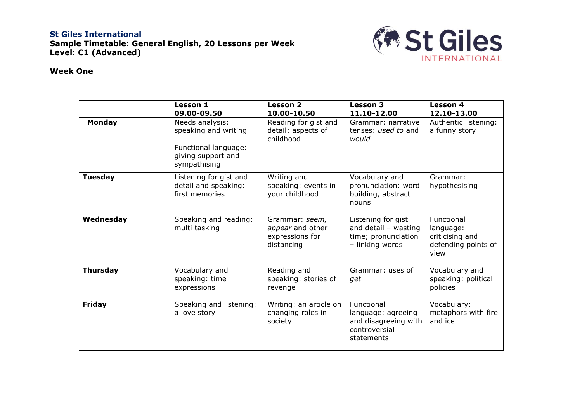## **St Giles International Sample Timetable: General English, 20 Lessons per Week Level: C1 (Advanced)**



## **Week One**

|                 | <b>Lesson 1</b><br>09.00-09.50                                                                        | <b>Lesson 2</b><br>10.00-10.50                                      | <b>Lesson 3</b><br>11.10-12.00                                                          | <b>Lesson 4</b><br>12.10-13.00                                            |
|-----------------|-------------------------------------------------------------------------------------------------------|---------------------------------------------------------------------|-----------------------------------------------------------------------------------------|---------------------------------------------------------------------------|
| <b>Monday</b>   | Needs analysis:<br>speaking and writing<br>Functional language:<br>giving support and<br>sympathising | Reading for gist and<br>detail: aspects of<br>childhood             | Grammar: narrative<br>tenses: used to and<br>would                                      | Authentic listening:<br>a funny story                                     |
| <b>Tuesday</b>  | Listening for gist and<br>detail and speaking:<br>first memories                                      | Writing and<br>speaking: events in<br>your childhood                | Vocabulary and<br>pronunciation: word<br>building, abstract<br>nouns                    | Grammar:<br>hypothesising                                                 |
| Wednesday       | Speaking and reading:<br>multi tasking                                                                | Grammar: seem,<br>appear and other<br>expressions for<br>distancing | Listening for gist<br>and detail $-$ wasting<br>time; pronunciation<br>- linking words  | Functional<br>language:<br>criticising and<br>defending points of<br>view |
| <b>Thursday</b> | Vocabulary and<br>speaking: time<br>expressions                                                       | Reading and<br>speaking: stories of<br>revenge                      | Grammar: uses of<br>get                                                                 | Vocabulary and<br>speaking: political<br>policies                         |
| <b>Friday</b>   | Speaking and listening:<br>a love story                                                               | Writing: an article on<br>changing roles in<br>society              | Functional<br>language: agreeing<br>and disagreeing with<br>controversial<br>statements | Vocabulary:<br>metaphors with fire<br>and ice                             |